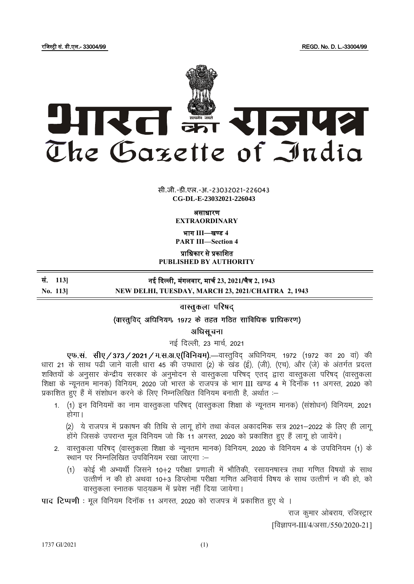

**x xxxGIDExxx** सी.जी.-डी.एल.-अ.-23032021-226043 **CG-DL-E-23032021-226043**

> असाधारण **EXTRAORDINARY**

> भाग **III**—खण् ड **4 PART III—Section 4**

प्राजधकार से प्रकाजित

**PUBLISHED BY AUTHORITY**

## सं. **113]** नई दिल्ली, मंगलवार, मार्च **23, 2021**/र्ैत्र **2, 1943**

**No. 113] NEW DELHI, TUESDAY, MARCH 23, 2021/CHAITRA 2, 1943**

वास्तुकला परिषद्

(वास्तुविद् अधिनियम, 1972 के तहत गठित सांविधिक प्राधिकरण)

अधिसूचना

नई दिल्ली, 23 मार्च, 2021

एफ.सं. सीए / 373 / 2021 / म.स.अ.ए(विनियम).—वास्तुविद् अधिनियम, 1972 (1972 का 20 वां) की धारा 21 के साथ पढी जाने वाली धारा 45 की उपधारा (2) के खंड (ई), (जी), (एच), और (जे) के अंतर्गत प्रदत्त शक्तियों के अनुसार केन्द्रीय सरकार के अनुमोदन से वास्तुकला परिषद् एतद् द्वारा वास्तुकला परिषद् (वास्तुकला शिक्षा के न्यूनतम मानक) विनियम, 2020 जो भारत के राजपत्र के भाग III खण्ड 4 में दिनाँक 11 अगस्त, 2020 को प्रकाशित हुए हैं में संशोधन करने के लिए निम्नलिखित विनियम बनाती है, अर्थात :-

1. (1) इन विनियमों का नाम वास्तुकला परिषद (वास्तुकला शिक्षा के न्यूनतम मानक) (संशोधन) विनियम, 2021 होगा।

(2) ये राजपत्र में प्रकाषन की तिथि से लागू होंगे तथा केवल अकादमिक सत्र 2021–2022 के लिए ही लागू होंगे जिसके उपरान्त मूल विनियम जो कि 11 अगस्त, 2020 को प्रकाशित हुए हैं लागू हो जायेंगे।

- 2. वास्तुकला परिषद् (वास्तुकला शिक्षा के न्यूनतम मानक) विनियम, 2020 के विनियम 4 के उपविनियम (1) के <u>स्थान</u> पर निम्नलिखित उपविनियम रखा जाएगा :-
	- (1) कोई भी अभ्यर्थी जिसने 10+2 परीक्षा प्रणाली में भौतिकी, रसायनषास्त्र तथा गणित विषयों के साथ उत्तीर्ण न की हो अथवा 10+3 डिप्लोमा परीक्षा गणित अनिवार्य विषय के साथ उत्तीर्ण न की हो, को वास्तुकला स्नातक पाठ्यक्रम में प्रवेश नहीं दिया जायेगा।

पाद टिप्पणी : मूल विनियम दिनॉक 11 अगस्त, 2020 को राजपत्र में प्रकाशित हुए थे ।

राज कुमार ओबराय, रजिस्ट्रार

[विज्ञापन-III/4/असा./550/2020-21]